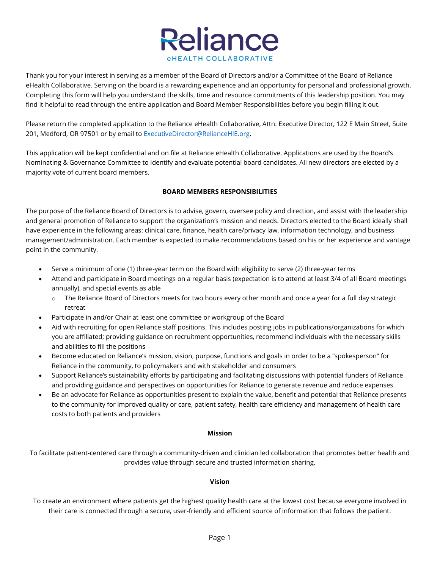

Thank you for your interest in serving as a member of the Board of Directors and/or a Committee of the Board of Reliance eHealth Collaborative. Serving on the board is a rewarding experience and an opportunity for personal and professional growth. Completing this form will help you understand the skills, time and resource commitments of this leadership position. You may find it helpful to read through the entire application and Board Member Responsibilities before you begin filling it out.

Please return the completed application to the Reliance eHealth Collaborative, Attn: Executive Director, 122 E Main Street, Suite 201, Medford, OR 97501 or by email to [ExecutiveDirector@RelianceHIE.org.](mailto:ExecutiveDirector@RelianceHIE.org)

This application will be kept confidential and on file at Reliance eHealth Collaborative. Applications are used by the Board's Nominating & Governance Committee to identify and evaluate potential board candidates. All new directors are elected by a majority vote of current board members.

# **BOARD MEMBERS RESPONSIBILITIES**

The purpose of the Reliance Board of Directors is to advise, govern, oversee policy and direction, and assist with the leadership and general promotion of Reliance to support the organization's mission and needs. Directors elected to the Board ideally shall have experience in the following areas: clinical care, finance, health care/privacy law, information technology, and business management/administration. Each member is expected to make recommendations based on his or her experience and vantage point in the community.

- Serve a minimum of one (1) three-year term on the Board with eligibility to serve (2) three-year terms
- Attend and participate in Board meetings on a regular basis (expectation is to attend at least 3/4 of all Board meetings annually), and special events as able
	- o The Reliance Board of Directors meets for two hours every other month and once a year for a full day strategic retreat
- Participate in and/or Chair at least one committee or workgroup of the Board
- Aid with recruiting for open Reliance staff positions. This includes posting jobs in publications/organizations for which you are affiliated; providing guidance on recruitment opportunities, recommend individuals with the necessary skills and abilities to fill the positions
- Become educated on Reliance's mission, vision, purpose, functions and goals in order to be a "spokesperson" for Reliance in the community, to policymakers and with stakeholder and consumers
- Support Reliance's sustainability efforts by participating and facilitating discussions with potential funders of Reliance and providing guidance and perspectives on opportunities for Reliance to generate revenue and reduce expenses
- Be an advocate for Reliance as opportunities present to explain the value, benefit and potential that Reliance presents to the community for improved quality or care, patient safety, health care efficiency and management of health care costs to both patients and providers

### **Mission**

To facilitate patient-centered care through a community-driven and clinician led collaboration that promotes better health and provides value through secure and trusted information sharing.

# **Vision**

To create an environment where patients get the highest quality health care at the lowest cost because everyone involved in their care is connected through a secure, user-friendly and efficient source of information that follows the patient.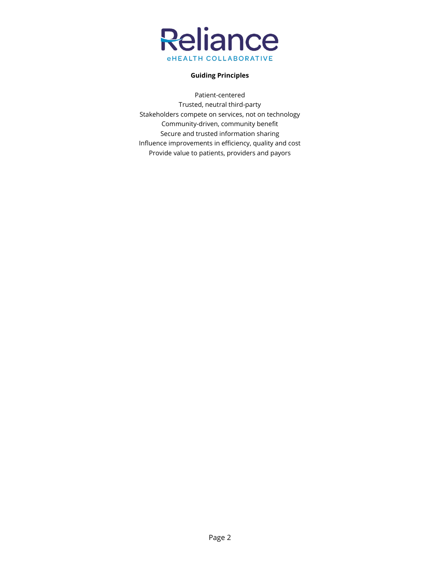

## **Guiding Principles**

Patient-centered Trusted, neutral third-party Stakeholders compete on services, not on technology Community-driven, community benefit Secure and trusted information sharing Influence improvements in efficiency, quality and cost Provide value to patients, providers and payors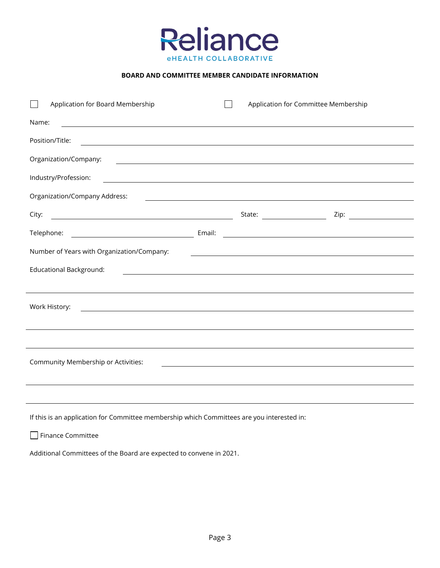

### **BOARD AND COMMITTEE MEMBER CANDIDATE INFORMATION**

| Application for Board Membership                                                                                                                                                                                                                      | Application for Committee Membership                                                                                    |  |
|-------------------------------------------------------------------------------------------------------------------------------------------------------------------------------------------------------------------------------------------------------|-------------------------------------------------------------------------------------------------------------------------|--|
| Name:<br><u> 1989 - Andrea Barbara, amerikan personal dan personal dan personal dan personal dan personal dan personal dan</u>                                                                                                                        |                                                                                                                         |  |
| Position/Title:<br><u> 2008 - Andrea Andrew Maria (h. 1888).</u>                                                                                                                                                                                      |                                                                                                                         |  |
| Organization/Company:                                                                                                                                                                                                                                 | <u> Alexandria de la contrada de la contrada de la contrada de la contrada de la contrada de la contrada de la c</u>    |  |
| Industry/Profession:<br><u> Alexandria de la contrada de la contrada de la contrada de la contrada de la contrada de la contrada de la c</u>                                                                                                          |                                                                                                                         |  |
| Organization/Company Address:                                                                                                                                                                                                                         | <u> The Communication of the Communication of the Communication of the Communication of the Communication of the Co</u> |  |
| City:                                                                                                                                                                                                                                                 | State: ______________________                                                                                           |  |
| Telephone:                                                                                                                                                                                                                                            |                                                                                                                         |  |
| Number of Years with Organization/Company:                                                                                                                                                                                                            |                                                                                                                         |  |
| <b>Educational Background:</b>                                                                                                                                                                                                                        | <u> 1989 - Johann Stoff, amerikansk politiker (d. 1989)</u>                                                             |  |
|                                                                                                                                                                                                                                                       |                                                                                                                         |  |
| Work History:<br><u> 1989 - Johann Stoff, deutscher Stoffen und der Stoffen und der Stoffen und der Stoffen und der Stoffen und der Stoffen und der Stoffen und der Stoffen und der Stoffen und der Stoffen und der Stoffen und der Stoffen und d</u> |                                                                                                                         |  |
|                                                                                                                                                                                                                                                       |                                                                                                                         |  |
|                                                                                                                                                                                                                                                       |                                                                                                                         |  |
| Community Membership or Activities:                                                                                                                                                                                                                   |                                                                                                                         |  |
|                                                                                                                                                                                                                                                       |                                                                                                                         |  |
|                                                                                                                                                                                                                                                       |                                                                                                                         |  |

If this is an application for Committee membership which Committees are you interested in:

Finance Committee

Additional Committees of the Board are expected to convene in 2021.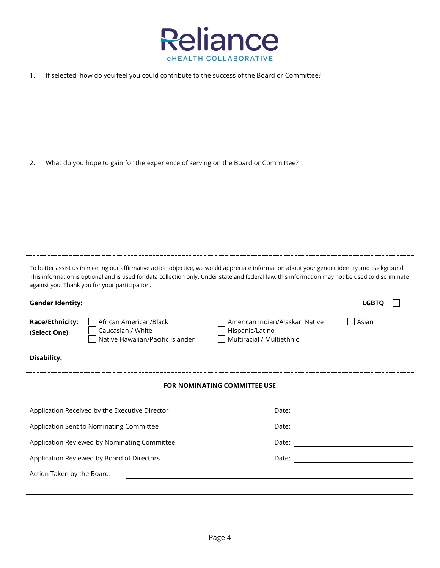

1. If selected, how do you feel you could contribute to the success of the Board or Committee?

2. What do you hope to gain for the experience of serving on the Board or Committee?

To better assist us in meeting our affirmative action objective, we would appreciate information about your gender identity and background. This information is optional and is used for data collection only. Under state and federal law, this information may not be used to discriminate against you. Thank you for your participation.

| <b>Gender Identity:</b>                                                                                            | <b>LGBTQ</b>                                                                            |  |  |  |
|--------------------------------------------------------------------------------------------------------------------|-----------------------------------------------------------------------------------------|--|--|--|
| Race/Ethnicity:<br>African American/Black<br>Caucasian / White<br>(Select One)<br>Native Hawaiian/Pacific Islander | American Indian/Alaskan Native<br>Asian<br>Hispanic/Latino<br>Multiracial / Multiethnic |  |  |  |
| <b>Disability:</b>                                                                                                 |                                                                                         |  |  |  |
| <b>FOR NOMINATING COMMITTEE USE</b>                                                                                |                                                                                         |  |  |  |
| Application Received by the Executive Director                                                                     |                                                                                         |  |  |  |
| Application Sent to Nominating Committee                                                                           | Date:                                                                                   |  |  |  |
| Application Reviewed by Nominating Committee                                                                       | Date:                                                                                   |  |  |  |
| Application Reviewed by Board of Directors                                                                         | Date:                                                                                   |  |  |  |
| Action Taken by the Board:                                                                                         |                                                                                         |  |  |  |
|                                                                                                                    |                                                                                         |  |  |  |
|                                                                                                                    |                                                                                         |  |  |  |